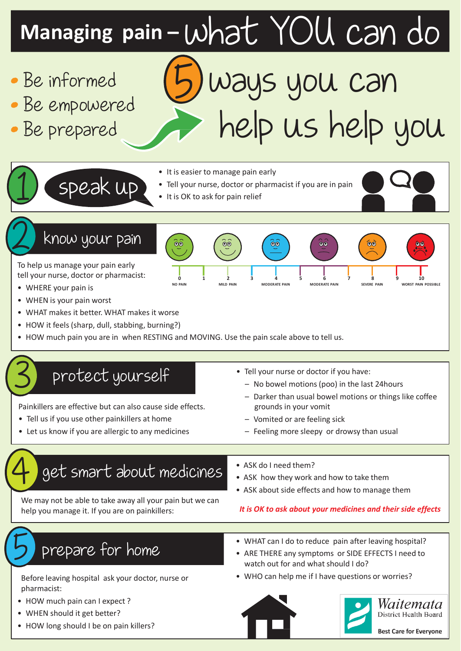# **Managing pain –** what YOU can do

- Be informed
- Be empowered
- Be prepared

# 5 ways you can help us help you

• It is easier to manage pain early

 $\overline{\mathbf{e}}$ 

- Tell your nurse, doctor or pharmacist if you are in pain
- It is OK to ask for pain relief



speak up

To help us manage your pain early tell your nurse, doctor or pharmacist:

- WHERE your pain is
- WHEN is your pain worst
- WHAT makes it better. WHAT makes it worse
- HOW it feels (sharp, dull, stabbing, burning?)
- HOW much pain you are in when RESTING and MOVING. Use the pain scale above to tell us.

 $\dddot{\bullet}$ 

#### 3 protect yourself

Painkillers are effective but can also cause side effects.

- Tell us if you use other painkillers at home
- Let us know if you are allergic to any medicines

#### • Tell your nurse or doctor if you have:

**0 1 2 3 4 5 6 7 8 9 10 NO PAIN MILD PAIN MODERATE PAIN MODERATE PAIN SEVERE PAIN WORST PAIN POSSIBLE**

 $\overline{\odot}$ 

- No bowel motions (poo) in the last 24hours
- Darker than usual bowel motions or things like coffee grounds in your vomit
- Vomited or are feeling sick
- Feeling more sleepy or drowsy than usual

## 4 get smart about medicines

We may not be able to take away all your pain but we can help you manage it. If you are on painkillers:

- ASK do I need them?
- ASK how they work and how to take them
- ASK about side effects and how to manage them

#### *It is OK to ask about your medicines and their side effects*

### prepare for home

Before leaving hospital ask your doctor, nurse or pharmacist:

- HOW much pain can I expect ?
- WHEN should it get better?
- HOW long should I be on pain killers?
- WHAT can I do to reduce pain after leaving hospital?
- ARE THERE any symptoms or SIDE EFFECTS I need to watch out for and what should I do?
- WHO can help me if I have questions or worries?